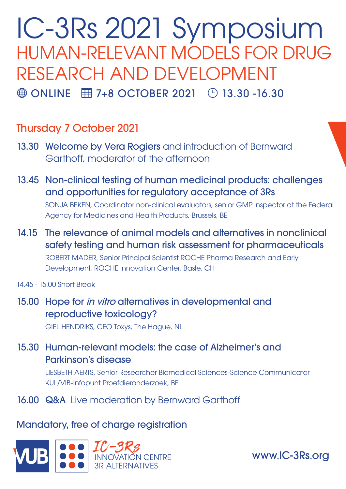# IC-3Rs 2021 Symposium HUMAN-RELEVANT MODELS FOR DRUG RESEARCH AND DEVELOPMENT  $\bigoplus$  ONLINE  $\Box$  7+8 OCTOBER 2021  $\Box$  13.30 -16.30

## Thursday 7 October 2021

- 13.30 Welcome by Vera Rogiers and introduction of Bernward Garthoff, moderator of the afternoon
- 13.45 Non-clinical testing of human medicinal products: challenges and opportunities for regulatory acceptance of 3Rs

SONJA BEKEN, Coordinator non-clinical evaluators, senior GMP inspector at the Federal Agency for Medicines and Health Products, Brussels, BE

- 14.15 The relevance of animal models and alternatives in nonclinical safety testing and human risk assessment for pharmaceuticals ROBERT MADER, Senior Principal Scientist ROCHE Pharma Research and Early Development, ROCHE Innovation Center, Basle, CH
- 14.45 15.00 Short Break
- 15.00 Hope for *in vitro* alternatives in developmental and reproductive toxicology?

GIEL HENDRIKS, CEO Toxys, The Hague, NL

15.30 Human-relevant models: the case of Alzheimer's and Parkinson's disease

> LIESBETH AERTS, Senior Researcher Biomedical Sciences-Science Communicator KUL/VIB-Infopunt Proefdieronderzoek, BE

16.00 Q&A Live moderation by Bernward Garthoff

#### Mandatory, free of charge registration